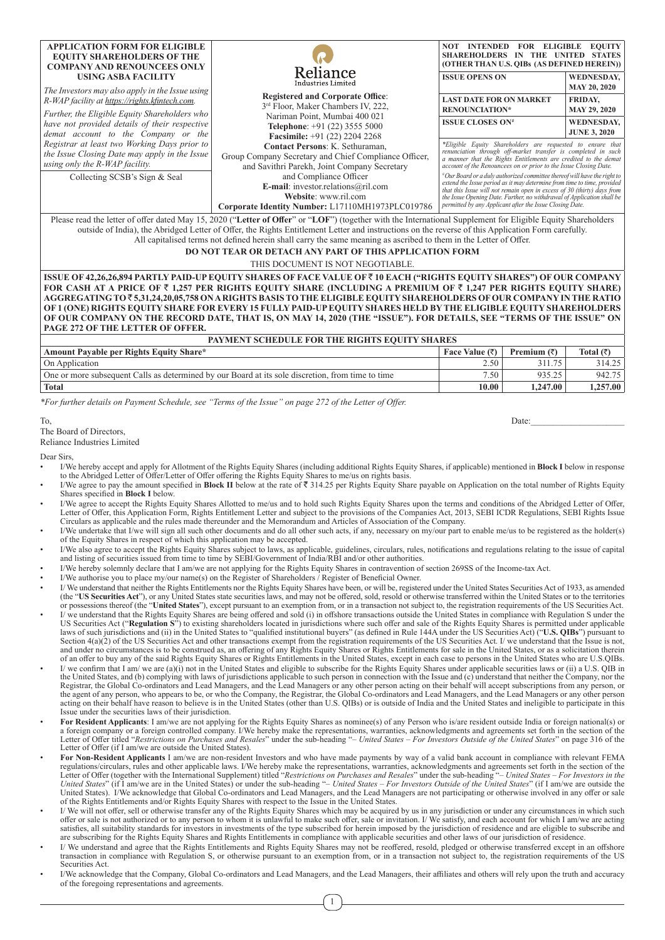| <b>APPLICATION FORM FOR ELIGIBLE</b><br><b>EQUITY SHAREHOLDERS OF THE</b><br><b>COMPANY AND RENOUNCEES ONLY</b><br>USING ASBA FACILITY<br>The Investors may also apply in the Issue using<br>R-WAP facility at https://rights.kfintech.com.<br>Further, the Eligible Equity Shareholders who<br>have not provided details of their respective<br>demat account to the Company or the<br>Registrar at least two Working Days prior to | Reliance<br>Industries Limited<br><b>Registered and Corporate Office:</b><br>3rd Floor, Maker Chambers IV, 222,<br>Nariman Point, Mumbai 400 021<br>Telephone: +91 (22) 3555 5000<br><b>Facsimile:</b> $+91$ (22) 2204 2268<br>Contact Persons: K. Sethuraman. | <b>INTENDED</b><br>NOT –<br><b>FOR ELIGIBLE</b><br><b>SHAREHOLDERS</b><br>IN<br>(OTHER THAN U.S. OIBs (AS DEFINED HEREIN))<br><b>ISSUE OPENS ON</b><br><b>LAST DATE FOR ON MARKET</b><br><b>RENOUNCIATION*</b><br><b>ISSUE CLOSES ON*</b><br>*Eligible Equity Shareholders are requested to ensure that                                                                                                                                                                                                     | <b>EOUITY</b><br>THE UNITED STATES<br><b>WEDNESDAY,</b><br><b>MAY 20, 2020</b><br><b>FRIDAY.</b><br><b>MAY 29, 2020</b><br><b>WEDNESDAY.</b><br><b>JUNE 3, 2020</b> |  |  |  |  |
|--------------------------------------------------------------------------------------------------------------------------------------------------------------------------------------------------------------------------------------------------------------------------------------------------------------------------------------------------------------------------------------------------------------------------------------|----------------------------------------------------------------------------------------------------------------------------------------------------------------------------------------------------------------------------------------------------------------|-------------------------------------------------------------------------------------------------------------------------------------------------------------------------------------------------------------------------------------------------------------------------------------------------------------------------------------------------------------------------------------------------------------------------------------------------------------------------------------------------------------|---------------------------------------------------------------------------------------------------------------------------------------------------------------------|--|--|--|--|
| the Issue Closing Date may apply in the Issue<br>using only the R-WAP facility.<br>Collecting SCSB's Sign & Seal                                                                                                                                                                                                                                                                                                                     | Group Company Secretary and Chief Compliance Officer,<br>and Savithri Parekh, Joint Company Secretary<br>and Compliance Officer<br>E-mail: investor.relations@ril.com<br>Website: www.ril.com<br>Corporate Identity Number: L17110MH1973PLC019786              | a manner that the Rights Entitlements are credited to the demat<br>account of the Renouncees on or prior to the Issue Closing Date.<br>Our Board or a duly authorized committee thereof will have the right to#<br>extend the Issue period as it may determine from time to time, provided<br>that this Issue will not remain open in excess of 30 (thirty) days from<br>the Issue Opening Date. Further, no withdrawal of Application shall be<br>permitted by any Applicant after the Issue Closing Date. |                                                                                                                                                                     |  |  |  |  |
| Please read the letter of offer dated May 15, 2020 ("Letter of Offer" or "LOF") (together with the International Supplement for Eligible Equity Shareholders<br>outside of India), the Abridged Letter of Offer, the Rights Entitlement Letter and instructions on the reverse of this Application Form carefully.                                                                                                                   |                                                                                                                                                                                                                                                                |                                                                                                                                                                                                                                                                                                                                                                                                                                                                                                             |                                                                                                                                                                     |  |  |  |  |

All capitalised terms not defined herein shall carry the same meaning as ascribed to them in the Letter of Offer.

**DO NOT TEAR OR DETACH ANY PART OF THIS APPLICATION FORM**

THIS DOCUMENT IS NOT NEGOTIABLE.

**ISSUE OF 42,26,26,894 PARTLY PAID-UP EQUITY SHARES OF FACE VALUE OF** ` **10 EACH ("RIGHTS EQUITY SHARES") OF OUR COMPANY FOR CASH AT A PRICE OF** ` **1,257 PER RIGHTS EQUITY SHARE (INCLUDING A PREMIUM OF** ` **1,247 PER RIGHTS EQUITY SHARE) AGGREGATING TO** ` **5,31,24,20,05,758 ON A RIGHTS BASIS TO THE ELIGIBLE EQUITY SHAREHOLDERS OF OUR COMPANY IN THE RATIO OF 1 (ONE) RIGHTS EQUITY SHARE FOR EVERY 15 FULLY PAID-UP EQUITY SHARES HELD BY THE ELIGIBLE EQUITY SHAREHOLDERS OF OUR COMPANY ON THE RECORD DATE, THAT IS, ON MAY 14, 2020 (THE "ISSUE"). FOR DETAILS, SEE "TERMS OF THE ISSUE" ON PAGE 272 OF THE LETTER OF OFFER.**

| PAYMENT SCHEDULE FOR THE RIGHTS EQUITY SHARES                                                     |                  |                     |           |  |  |  |  |  |  |
|---------------------------------------------------------------------------------------------------|------------------|---------------------|-----------|--|--|--|--|--|--|
| Amount Payable per Rights Equity Share*                                                           | Face Value $(3)$ | Premium $(\bar{z})$ | Total (₹) |  |  |  |  |  |  |
| On Application                                                                                    | 2.50             | 311.75              | 314.25    |  |  |  |  |  |  |
| One or more subsequent Calls as determined by our Board at its sole discretion, from time to time | 7.50             | 935.25              | 942.75    |  |  |  |  |  |  |
| <b>Total</b>                                                                                      | 10.00            | 1,247.00            | 1.257.00  |  |  |  |  |  |  |

*\*For further details on Payment Schedule, see "Terms of the Issue" on page 272 of the Letter of Offer.*

To, Date:

## The Board of Directors,

Reliance Industries Limited

Dear Sirs,

- I/We hereby accept and apply for Allotment of the Rights Equity Shares (including additional Rights Equity Shares, if applicable) mentioned in **Block I** below in response to the Abridged Letter of Offer/Letter of Offer offering the Rights Equity Shares to me/us on rights basis.
- I/We agree to pay the amount specified in **Block II** below at the rate of ₹ 314.25 per Rights Equity Share payable on Application on the total number of Rights Equity Shares specified in **Block I** below.
- I/We agree to accept the Rights Equity Shares Allotted to me/us and to hold such Rights Equity Shares upon the terms and conditions of the Abridged Letter of Offer, Letter of Offer, this Application Form, Rights Entitlement Letter and subject to the provisions of the Companies Act, 2013, SEBI ICDR Regulations, SEBI Rights Issue Circulars as applicable and the rules made thereunder and the Memorandum and Articles of Association of the Company.
- I/We undertake that I/we will sign all such other documents and do all other such acts, if any, necessary on my/our part to enable me/us to be registered as the holder(s) of the Equity Shares in respect of which this application may be accepted.
- I/We also agree to accept the Rights Equity Shares subject to laws, as applicable, guidelines, circulars, rules, notifications and regulations relating to the issue of capital and listing of securities issued from time t
- I/We hereby solemnly declare that I am/we are not applying for the Rights Equity Shares in contravention of section 269SS of the Income-tax Act.
- I/We authorise you to place my/our name(s) on the Register of Shareholders / Register of Beneficial Owner.
- I/ We understand that neither the Rights Entitlements nor the Rights Equity Shares have been, or will be, registered under the United States Securities Act of 1933, as amended (the "US Securities Act"), or any United States state securities laws, and may not be offered, sold, resold or otherwise transferred within the United States or to the territories or possessions thereof (the "United States
- I/ we understand that the Rights Equity Shares are being offered and sold (i) in offshore transactions outside the United States in compliance with Regulation S under the US Securities Act ("Regulation S") to existing shareholders located in jurisdictions where such offer and sale of the Rights Equity Shares is permitted under applicable<br>laws of such jurisdictions and (ii) in the United Sta Section 4(a)(2) of the US Securities Act and other transactions exempt from the registration requirements of the US Securities Act. I/ we understand that the Issue is not, and under no circumstances is to be construed as, an offering of any Rights Equity Shares or Rights Entitlements for sale in the United States, or as a solicitation therein<br>of an offer to buy any of the said Rights Equity
- I/ we confirm that I am/ we are (a)(i) not in the United States and eligible to subscribe for the Rights Equity Shares under applicable securities laws or (ii) a U.S. QIB in the United States, and (b) complying with laws of jurisdictions applicable to such person in connection with the Issue and (c) understand that neither the Company, nor the  $\theta$ Registrar, the Global Co-ordinators and Lead Managers, and the Lead Managers or any other person acting on their behalf will accept subscriptions from any person, or<br>the agent of any person, who appears to be, or who the C Issue under the securities laws of their jurisdiction.
- For Resident Applicants: I am/we are not applying for the Rights Equity Shares as nominee(s) of any Person who is/are resident outside India or foreign national(s) or a foreign national(s) or a foreign company or a forei Letter of Offer titled "*Restrictions on Purchases and Resales*" under the sub-heading "*– United States – For Investors Outside of the United States*" on page 316 of the Letter of Offer (if I am/we are outside the United States).
- **For Non-Resident Applicants** I am/we are non-resident Investors and who have made payments by way of a valid bank account in compliance with relevant FEMA regulations/circulars, rules and other applicable laws. I/We hereby make the representations, warranties, acknowledgments and agreements set forth in the section of the<br>Letter of Offer (together with the International Supp *United States*" (if I am/we are in the United States) or under the sub-heading "*– United States – For Investors Outside of the United States*" (if I am/we are outside the United States). I/We acknowledge that Global Co-ordinators and Lead Managers, and the Lead Managers are not participating or otherwise involved in any offer or sale of the Rights Entitlements and/or Rights Equity Shares with respect to the Issue in the United States.
- I/ We will not offer, sell or otherwise transfer any of the Rights Equity Shares which may be acquired by us in any jurisdiction or under any circumstances in which such offer or sale is not authorized or to any person to whom it is unlawful to make such offer, sale or invitation. I/ We satisfy, and each account for which I am/we are acting<br>satisfies, all suitability standards for investor
- I/ We understand and agree that the Rights Entitlements and Rights Equity Shares may not be reoffered, resold, pledged or otherwise transferred except in an offshore transaction in compliance with Regulation S, or otherwise pursuant to an exemption from, or in a transaction not subject to, the registration requirements of the US Securities Act.
- I/We acknowledge that the Company, Global Co-ordinators and Lead Managers, and the Lead Managers, their affiliates and others will rely upon the truth and accuracy of the foregoing representations and agreements.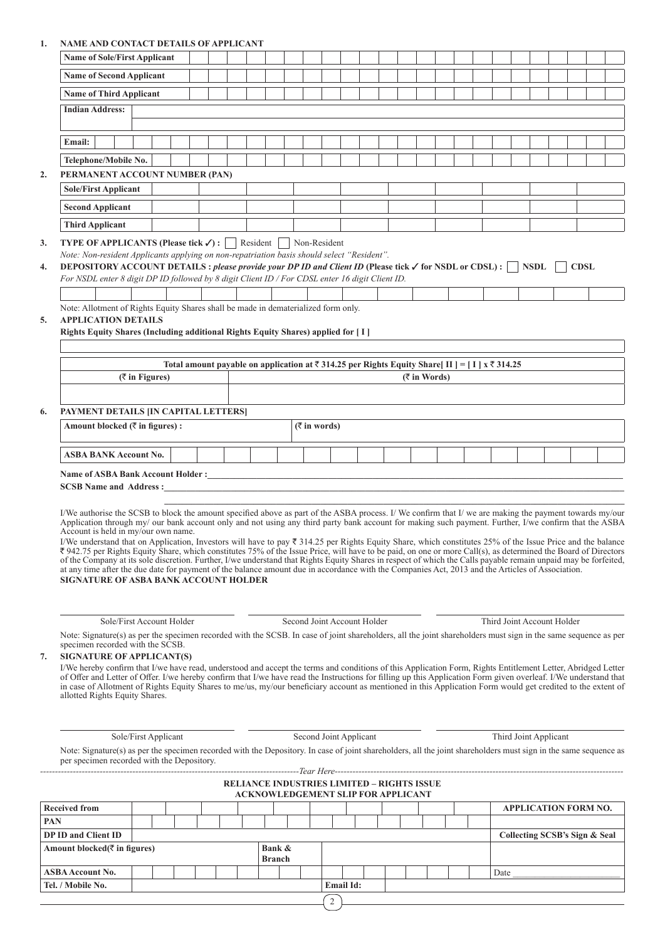# **1. NAME AND CONTACT DETAILS OF APPLICANT**

|                                                                                                                                                                                                                                                          | <b>Name of Sole/First Applicant</b>                                                                                                                                                                                                                                                                                                                                                                                                                                                                                                                                                                                                                                                                                                                                                                                                                                                                                                                                                                                                                         |                   |  |                                                                                                                               |  |  |                                                   |  |               |  |  |  |  |                 |  |  |                               |  |             |  |  |
|----------------------------------------------------------------------------------------------------------------------------------------------------------------------------------------------------------------------------------------------------------|-------------------------------------------------------------------------------------------------------------------------------------------------------------------------------------------------------------------------------------------------------------------------------------------------------------------------------------------------------------------------------------------------------------------------------------------------------------------------------------------------------------------------------------------------------------------------------------------------------------------------------------------------------------------------------------------------------------------------------------------------------------------------------------------------------------------------------------------------------------------------------------------------------------------------------------------------------------------------------------------------------------------------------------------------------------|-------------------|--|-------------------------------------------------------------------------------------------------------------------------------|--|--|---------------------------------------------------|--|---------------|--|--|--|--|-----------------|--|--|-------------------------------|--|-------------|--|--|
|                                                                                                                                                                                                                                                          | <b>Name of Second Applicant</b>                                                                                                                                                                                                                                                                                                                                                                                                                                                                                                                                                                                                                                                                                                                                                                                                                                                                                                                                                                                                                             |                   |  |                                                                                                                               |  |  |                                                   |  |               |  |  |  |  |                 |  |  |                               |  |             |  |  |
|                                                                                                                                                                                                                                                          | <b>Name of Third Applicant</b>                                                                                                                                                                                                                                                                                                                                                                                                                                                                                                                                                                                                                                                                                                                                                                                                                                                                                                                                                                                                                              |                   |  |                                                                                                                               |  |  |                                                   |  |               |  |  |  |  |                 |  |  |                               |  |             |  |  |
|                                                                                                                                                                                                                                                          | <b>Indian Address:</b>                                                                                                                                                                                                                                                                                                                                                                                                                                                                                                                                                                                                                                                                                                                                                                                                                                                                                                                                                                                                                                      |                   |  |                                                                                                                               |  |  |                                                   |  |               |  |  |  |  |                 |  |  |                               |  |             |  |  |
|                                                                                                                                                                                                                                                          |                                                                                                                                                                                                                                                                                                                                                                                                                                                                                                                                                                                                                                                                                                                                                                                                                                                                                                                                                                                                                                                             |                   |  |                                                                                                                               |  |  |                                                   |  |               |  |  |  |  |                 |  |  |                               |  |             |  |  |
|                                                                                                                                                                                                                                                          | Email:                                                                                                                                                                                                                                                                                                                                                                                                                                                                                                                                                                                                                                                                                                                                                                                                                                                                                                                                                                                                                                                      |                   |  |                                                                                                                               |  |  |                                                   |  |               |  |  |  |  |                 |  |  |                               |  |             |  |  |
|                                                                                                                                                                                                                                                          | Telephone/Mobile No.                                                                                                                                                                                                                                                                                                                                                                                                                                                                                                                                                                                                                                                                                                                                                                                                                                                                                                                                                                                                                                        |                   |  |                                                                                                                               |  |  |                                                   |  |               |  |  |  |  |                 |  |  |                               |  |             |  |  |
| 2.                                                                                                                                                                                                                                                       | PERMANENT ACCOUNT NUMBER (PAN)                                                                                                                                                                                                                                                                                                                                                                                                                                                                                                                                                                                                                                                                                                                                                                                                                                                                                                                                                                                                                              |                   |  |                                                                                                                               |  |  |                                                   |  |               |  |  |  |  |                 |  |  |                               |  |             |  |  |
|                                                                                                                                                                                                                                                          | <b>Sole/First Applicant</b>                                                                                                                                                                                                                                                                                                                                                                                                                                                                                                                                                                                                                                                                                                                                                                                                                                                                                                                                                                                                                                 |                   |  |                                                                                                                               |  |  |                                                   |  |               |  |  |  |  |                 |  |  |                               |  |             |  |  |
|                                                                                                                                                                                                                                                          | <b>Second Applicant</b>                                                                                                                                                                                                                                                                                                                                                                                                                                                                                                                                                                                                                                                                                                                                                                                                                                                                                                                                                                                                                                     |                   |  |                                                                                                                               |  |  |                                                   |  |               |  |  |  |  |                 |  |  |                               |  |             |  |  |
|                                                                                                                                                                                                                                                          | <b>Third Applicant</b>                                                                                                                                                                                                                                                                                                                                                                                                                                                                                                                                                                                                                                                                                                                                                                                                                                                                                                                                                                                                                                      |                   |  |                                                                                                                               |  |  |                                                   |  |               |  |  |  |  |                 |  |  |                               |  |             |  |  |
| 3.                                                                                                                                                                                                                                                       | <b>TYPE OF APPLICANTS (Please tick <math>\checkmark</math>) :</b> Resident Non-Resident                                                                                                                                                                                                                                                                                                                                                                                                                                                                                                                                                                                                                                                                                                                                                                                                                                                                                                                                                                     |                   |  |                                                                                                                               |  |  |                                                   |  |               |  |  |  |  |                 |  |  |                               |  |             |  |  |
| 4.                                                                                                                                                                                                                                                       | Note: Non-resident Applicants applying on non-repatriation basis should select "Resident".<br>DEPOSITORY ACCOUNT DETAILS : please provide your DP ID and Client ID (Please tick $\checkmark$ for NSDL or CDSL) :<br>For NSDL enter 8 digit DP ID followed by 8 digit Client ID / For CDSL enter 16 digit Client ID.                                                                                                                                                                                                                                                                                                                                                                                                                                                                                                                                                                                                                                                                                                                                         |                   |  |                                                                                                                               |  |  |                                                   |  |               |  |  |  |  |                 |  |  | <b>NSDL</b>                   |  | <b>CDSL</b> |  |  |
|                                                                                                                                                                                                                                                          |                                                                                                                                                                                                                                                                                                                                                                                                                                                                                                                                                                                                                                                                                                                                                                                                                                                                                                                                                                                                                                                             |                   |  |                                                                                                                               |  |  |                                                   |  |               |  |  |  |  |                 |  |  |                               |  |             |  |  |
| 5.                                                                                                                                                                                                                                                       | Note: Allotment of Rights Equity Shares shall be made in dematerialized form only.<br><b>APPLICATION DETAILS</b>                                                                                                                                                                                                                                                                                                                                                                                                                                                                                                                                                                                                                                                                                                                                                                                                                                                                                                                                            |                   |  |                                                                                                                               |  |  |                                                   |  |               |  |  |  |  |                 |  |  |                               |  |             |  |  |
|                                                                                                                                                                                                                                                          | Rights Equity Shares (Including additional Rights Equity Shares) applied for [ I ]                                                                                                                                                                                                                                                                                                                                                                                                                                                                                                                                                                                                                                                                                                                                                                                                                                                                                                                                                                          |                   |  |                                                                                                                               |  |  |                                                   |  |               |  |  |  |  |                 |  |  |                               |  |             |  |  |
|                                                                                                                                                                                                                                                          |                                                                                                                                                                                                                                                                                                                                                                                                                                                                                                                                                                                                                                                                                                                                                                                                                                                                                                                                                                                                                                                             |                   |  |                                                                                                                               |  |  |                                                   |  |               |  |  |  |  |                 |  |  |                               |  |             |  |  |
|                                                                                                                                                                                                                                                          |                                                                                                                                                                                                                                                                                                                                                                                                                                                                                                                                                                                                                                                                                                                                                                                                                                                                                                                                                                                                                                                             |                   |  | Total amount payable on application at $\overline{\tau}$ 314.25 per Rights Equity Share [II] = [I] x $\overline{\tau}$ 314.25 |  |  |                                                   |  |               |  |  |  |  |                 |  |  |                               |  |             |  |  |
|                                                                                                                                                                                                                                                          |                                                                                                                                                                                                                                                                                                                                                                                                                                                                                                                                                                                                                                                                                                                                                                                                                                                                                                                                                                                                                                                             | $($ ₹ in Figures) |  |                                                                                                                               |  |  |                                                   |  |               |  |  |  |  | $($ ₹ in Words) |  |  |                               |  |             |  |  |
|                                                                                                                                                                                                                                                          |                                                                                                                                                                                                                                                                                                                                                                                                                                                                                                                                                                                                                                                                                                                                                                                                                                                                                                                                                                                                                                                             |                   |  |                                                                                                                               |  |  |                                                   |  |               |  |  |  |  |                 |  |  |                               |  |             |  |  |
| 6.                                                                                                                                                                                                                                                       | PAYMENT DETAILS [IN CAPITAL LETTERS]                                                                                                                                                                                                                                                                                                                                                                                                                                                                                                                                                                                                                                                                                                                                                                                                                                                                                                                                                                                                                        |                   |  |                                                                                                                               |  |  |                                                   |  |               |  |  |  |  |                 |  |  |                               |  |             |  |  |
|                                                                                                                                                                                                                                                          | Amount blocked $(\bar{\tau}$ in figures) :<br>$($ ₹ in words)                                                                                                                                                                                                                                                                                                                                                                                                                                                                                                                                                                                                                                                                                                                                                                                                                                                                                                                                                                                               |                   |  |                                                                                                                               |  |  |                                                   |  |               |  |  |  |  |                 |  |  |                               |  |             |  |  |
|                                                                                                                                                                                                                                                          |                                                                                                                                                                                                                                                                                                                                                                                                                                                                                                                                                                                                                                                                                                                                                                                                                                                                                                                                                                                                                                                             |                   |  |                                                                                                                               |  |  |                                                   |  |               |  |  |  |  |                 |  |  |                               |  |             |  |  |
|                                                                                                                                                                                                                                                          | ASBA BANK Account No.                                                                                                                                                                                                                                                                                                                                                                                                                                                                                                                                                                                                                                                                                                                                                                                                                                                                                                                                                                                                                                       |                   |  |                                                                                                                               |  |  |                                                   |  |               |  |  |  |  |                 |  |  |                               |  |             |  |  |
|                                                                                                                                                                                                                                                          |                                                                                                                                                                                                                                                                                                                                                                                                                                                                                                                                                                                                                                                                                                                                                                                                                                                                                                                                                                                                                                                             |                   |  |                                                                                                                               |  |  |                                                   |  |               |  |  |  |  |                 |  |  |                               |  |             |  |  |
|                                                                                                                                                                                                                                                          |                                                                                                                                                                                                                                                                                                                                                                                                                                                                                                                                                                                                                                                                                                                                                                                                                                                                                                                                                                                                                                                             |                   |  |                                                                                                                               |  |  |                                                   |  |               |  |  |  |  |                 |  |  |                               |  |             |  |  |
|                                                                                                                                                                                                                                                          | I/We authorise the SCSB to block the amount specified above as part of the ASBA process. I/We confirm that I/we are making the payment towards my/our<br>Application through my/ our bank account only and not using any third party bank account for making such payment. Further, I/we confirm that the ASBA<br>Account is held in my/our own name.<br>I/We understand that on Application, Investors will have to pay ₹ 314.25 per Rights Equity Share, which constitutes 25% of the Issue Price and the balance<br>₹942.75 per Rights Equity Share, which constitutes 75% of the Issue Price, will have to be paid, on one or more Call(s), as determined the Board of Directors<br>of the Company at its sole discretion. Further, I/we understand that Rights Equity Shares in respect of which the Calls payable remain unpaid may be forfeited,<br>at any time after the due date for payment of the balance amount due in accordance with the Companies Act, 2013 and the Articles of Association.<br><b>SIGNATURE OF ASBA BANK ACCOUNT HOLDER</b> |                   |  |                                                                                                                               |  |  |                                                   |  |               |  |  |  |  |                 |  |  |                               |  |             |  |  |
|                                                                                                                                                                                                                                                          |                                                                                                                                                                                                                                                                                                                                                                                                                                                                                                                                                                                                                                                                                                                                                                                                                                                                                                                                                                                                                                                             |                   |  |                                                                                                                               |  |  |                                                   |  |               |  |  |  |  |                 |  |  |                               |  |             |  |  |
| Second Joint Account Holder<br>Sole/First Account Holder<br>Third Joint Account Holder<br>Note: Signature(s) as per the specimen recorded with the SCSB. In case of joint shareholders, all the joint shareholders must sign in the same sequence as per |                                                                                                                                                                                                                                                                                                                                                                                                                                                                                                                                                                                                                                                                                                                                                                                                                                                                                                                                                                                                                                                             |                   |  |                                                                                                                               |  |  |                                                   |  |               |  |  |  |  |                 |  |  |                               |  |             |  |  |
|                                                                                                                                                                                                                                                          | specimen recorded with the SCSB.                                                                                                                                                                                                                                                                                                                                                                                                                                                                                                                                                                                                                                                                                                                                                                                                                                                                                                                                                                                                                            |                   |  |                                                                                                                               |  |  |                                                   |  |               |  |  |  |  |                 |  |  |                               |  |             |  |  |
| 7.                                                                                                                                                                                                                                                       | <b>SIGNATURE OF APPLICANT(S)</b><br>I/We hereby confirm that I/we have read, understood and accept the terms and conditions of this Application Form, Rights Entitlement Letter, Abridged Letter<br>of Offer and Letter of Offer. I/we hereby confirm that I/we have read the Instructions for filling up this Application Form given overleaf. I/We understand that<br>in case of Allotment of Rights Equity Shares to me/us, my/our beneficiary account as mentioned in this Application Form would get credited to the extent of<br>allotted Rights Equity Shares.                                                                                                                                                                                                                                                                                                                                                                                                                                                                                       |                   |  |                                                                                                                               |  |  |                                                   |  |               |  |  |  |  |                 |  |  |                               |  |             |  |  |
|                                                                                                                                                                                                                                                          |                                                                                                                                                                                                                                                                                                                                                                                                                                                                                                                                                                                                                                                                                                                                                                                                                                                                                                                                                                                                                                                             |                   |  |                                                                                                                               |  |  |                                                   |  |               |  |  |  |  |                 |  |  |                               |  |             |  |  |
|                                                                                                                                                                                                                                                          | Second Joint Applicant<br>Sole/First Applicant<br>Third Joint Applicant                                                                                                                                                                                                                                                                                                                                                                                                                                                                                                                                                                                                                                                                                                                                                                                                                                                                                                                                                                                     |                   |  |                                                                                                                               |  |  |                                                   |  |               |  |  |  |  |                 |  |  |                               |  |             |  |  |
|                                                                                                                                                                                                                                                          | Note: Signature(s) as per the specimen recorded with the Depository. In case of joint shareholders, all the joint shareholders must sign in the same sequence as<br>per specimen recorded with the Depository.                                                                                                                                                                                                                                                                                                                                                                                                                                                                                                                                                                                                                                                                                                                                                                                                                                              |                   |  |                                                                                                                               |  |  |                                                   |  |               |  |  |  |  |                 |  |  |                               |  |             |  |  |
|                                                                                                                                                                                                                                                          |                                                                                                                                                                                                                                                                                                                                                                                                                                                                                                                                                                                                                                                                                                                                                                                                                                                                                                                                                                                                                                                             |                   |  |                                                                                                                               |  |  | <b>RELIANCE INDUSTRIES LIMITED - RIGHTS ISSUE</b> |  |               |  |  |  |  |                 |  |  |                               |  |             |  |  |
|                                                                                                                                                                                                                                                          |                                                                                                                                                                                                                                                                                                                                                                                                                                                                                                                                                                                                                                                                                                                                                                                                                                                                                                                                                                                                                                                             |                   |  |                                                                                                                               |  |  | <b>ACKNOWLEDGEMENT SLIP FOR APPLICANT</b>         |  |               |  |  |  |  |                 |  |  |                               |  |             |  |  |
| PAN                                                                                                                                                                                                                                                      | <b>Received from</b>                                                                                                                                                                                                                                                                                                                                                                                                                                                                                                                                                                                                                                                                                                                                                                                                                                                                                                                                                                                                                                        |                   |  |                                                                                                                               |  |  |                                                   |  |               |  |  |  |  |                 |  |  | <b>APPLICATION FORM NO.</b>   |  |             |  |  |
|                                                                                                                                                                                                                                                          | <b>DP ID and Client ID</b>                                                                                                                                                                                                                                                                                                                                                                                                                                                                                                                                                                                                                                                                                                                                                                                                                                                                                                                                                                                                                                  |                   |  |                                                                                                                               |  |  |                                                   |  |               |  |  |  |  |                 |  |  | Collecting SCSB's Sign & Seal |  |             |  |  |
|                                                                                                                                                                                                                                                          | Amount blocked( $\overline{\zeta}$ in figures)                                                                                                                                                                                                                                                                                                                                                                                                                                                                                                                                                                                                                                                                                                                                                                                                                                                                                                                                                                                                              |                   |  |                                                                                                                               |  |  |                                                   |  | Bank &        |  |  |  |  |                 |  |  |                               |  |             |  |  |
|                                                                                                                                                                                                                                                          |                                                                                                                                                                                                                                                                                                                                                                                                                                                                                                                                                                                                                                                                                                                                                                                                                                                                                                                                                                                                                                                             |                   |  |                                                                                                                               |  |  |                                                   |  | <b>Branch</b> |  |  |  |  |                 |  |  |                               |  |             |  |  |

|   | i, |
|---|----|
|   |    |
| I |    |
|   |    |
|   |    |

**ASBA Account No.** Date \_\_\_\_\_\_\_\_\_\_\_\_\_\_\_\_\_\_\_\_\_\_\_\_

**Tel. / Mobile No. Email Id:**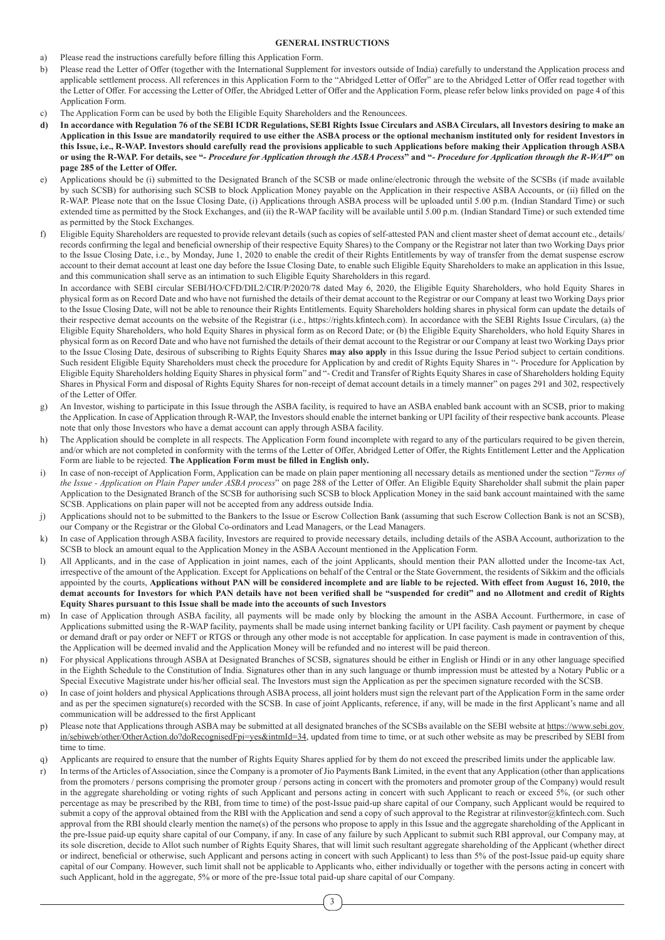#### **GENERAL INSTRUCTIONS**

- a) Please read the instructions carefully before filling this Application Form.
- b) Please read the Letter of Offer (together with the International Supplement for investors outside of India) carefully to understand the Application process and applicable settlement process. All references in this Application Form to the "Abridged Letter of Offer" are to the Abridged Letter of Offer read together with the Letter of Offer. For accessing the Letter of Offer, the Abridged Letter of Offer and the Application Form, please refer below links provided on page 4 of this Application Form.
- c) The Application Form can be used by both the Eligible Equity Shareholders and the Renouncees.
- **d) In accordance with Regulation 76 of the SEBI ICDR Regulations, SEBI Rights Issue Circulars and ASBA Circulars, all Investors desiring to make an Application in this Issue are mandatorily required to use either the ASBA process or the optional mechanism instituted only for resident Investors in this Issue, i.e., R-WAP. Investors should carefully read the provisions applicable to such Applications before making their Application through ASBA or using the R-WAP. For details, see "***- Procedure for Application through the ASBA Process***" and "***- Procedure for Application through the R-WAP***" on page 285 of the Letter of Offer.**
- e) Applications should be (i) submitted to the Designated Branch of the SCSB or made online/electronic through the website of the SCSBs (if made available by such SCSB) for authorising such SCSB to block Application Money payable on the Application in their respective ASBA Accounts, or (ii) filled on the R-WAP. Please note that on the Issue Closing Date, (i) Applications through ASBA process will be uploaded until 5.00 p.m. (Indian Standard Time) or such extended time as permitted by the Stock Exchanges, and (ii) the R-WAP facility will be available until 5.00 p.m. (Indian Standard Time) or such extended time as permitted by the Stock Exchanges.
- f) Eligible Equity Shareholders are requested to provide relevant details (such as copies of self-attested PAN and client master sheet of demat account etc., details/ records confirming the legal and beneficial ownership of their respective Equity Shares) to the Company or the Registrar not later than two Working Days prior to the Issue Closing Date, i.e., by Monday, June 1, 2020 to enable the credit of their Rights Entitlements by way of transfer from the demat suspense escrow account to their demat account at least one day before the Issue Closing Date, to enable such Eligible Equity Shareholders to make an application in this Issue, and this communication shall serve as an intimation to such Eligible Equity Shareholders in this regard.

In accordance with SEBI circular SEBI/HO/CFD/DIL2/CIR/P/2020/78 dated May 6, 2020, the Eligible Equity Shareholders, who hold Equity Shares in physical form as on Record Date and who have not furnished the details of their demat account to the Registrar or our Company at least two Working Days prior to the Issue Closing Date, will not be able to renounce their Rights Entitlements. Equity Shareholders holding shares in physical form can update the details of their respective demat accounts on the website of the Registrar (i.e., https://rights.kfintech.com). In accordance with the SEBI Rights Issue Circulars, (a) the Eligible Equity Shareholders, who hold Equity Shares in physical form as on Record Date; or (b) the Eligible Equity Shareholders, who hold Equity Shares in physical form as on Record Date and who have not furnished the details of their demat account to the Registrar or our Company at least two Working Days prior to the Issue Closing Date, desirous of subscribing to Rights Equity Shares **may also apply** in this Issue during the Issue Period subject to certain conditions. Such resident Eligible Equity Shareholders must check the procedure for Application by and credit of Rights Equity Shares in "- Procedure for Application by Eligible Equity Shareholders holding Equity Shares in physical form" and "- Credit and Transfer of Rights Equity Shares in case of Shareholders holding Equity Shares in Physical Form and disposal of Rights Equity Shares for non-receipt of demat account details in a timely manner" on pages 291 and 302, respectively of the Letter of Offer.

- g) An Investor, wishing to participate in this Issue through the ASBA facility, is required to have an ASBA enabled bank account with an SCSB, prior to making the Application. In case of Application through R-WAP, the Investors should enable the internet banking or UPI facility of their respective bank accounts. Please note that only those Investors who have a demat account can apply through ASBA facility.
- h) The Application should be complete in all respects. The Application Form found incomplete with regard to any of the particulars required to be given therein, and/or which are not completed in conformity with the terms of the Letter of Offer, Abridged Letter of Offer, the Rights Entitlement Letter and the Application Form are liable to be rejected. **The Application Form must be filled in English only.**
- i) In case of non-receipt of Application Form, Application can be made on plain paper mentioning all necessary details as mentioned under the section "*Terms of the Issue - Application on Plain Paper under ASBA process*" on page 288 of the Letter of Offer. An Eligible Equity Shareholder shall submit the plain paper Application to the Designated Branch of the SCSB for authorising such SCSB to block Application Money in the said bank account maintained with the same SCSB. Applications on plain paper will not be accepted from any address outside India.
- j) Applications should not to be submitted to the Bankers to the Issue or Escrow Collection Bank (assuming that such Escrow Collection Bank is not an SCSB), our Company or the Registrar or the Global Co-ordinators and Lead Managers, or the Lead Managers.
- k) In case of Application through ASBA facility, Investors are required to provide necessary details, including details of the ASBA Account, authorization to the SCSB to block an amount equal to the Application Money in the ASBA Account mentioned in the Application Form.
- l) All Applicants, and in the case of Application in joint names, each of the joint Applicants, should mention their PAN allotted under the Income-tax Act, irrespective of the amount of the Application. Except for Applications on behalf of the Central or the State Government, the residents of Sikkim and the officials appointed by the courts, **Applications without PAN will be considered incomplete and are liable to be rejected. With effect from August 16, 2010, the demat accounts for Investors for which PAN details have not been verified shall be "suspended for credit" and no Allotment and credit of Rights Equity Shares pursuant to this Issue shall be made into the accounts of such Investors**
- m) In case of Application through ASBA facility, all payments will be made only by blocking the amount in the ASBA Account. Furthermore, in case of Applications submitted using the R-WAP facility, payments shall be made using internet banking facility or UPI facility. Cash payment or payment by cheque or demand draft or pay order or NEFT or RTGS or through any other mode is not acceptable for application. In case payment is made in contravention of this, the Application will be deemed invalid and the Application Money will be refunded and no interest will be paid thereon.
- For physical Applications through ASBA at Designated Branches of SCSB, signatures should be either in English or Hindi or in any other language specified in the Eighth Schedule to the Constitution of India. Signatures other than in any such language or thumb impression must be attested by a Notary Public or a Special Executive Magistrate under his/her official seal. The Investors must sign the Application as per the specimen signature recorded with the SCSB.
- o) In case of joint holders and physical Applications through ASBA process, all joint holders must sign the relevant part of the Application Form in the same order and as per the specimen signature(s) recorded with the SCSB. In case of joint Applicants, reference, if any, will be made in the first Applicant's name and all communication will be addressed to the first Applicant
- p) Please note that Applications through ASBA may be submitted at all designated branches of the SCSBs available on the SEBI website at https://www.sebi.gov. in/sebiweb/other/OtherAction.do?doRecognisedFpi=yes&intmId=34, updated from time to time, or at such other website as may be prescribed by SEBI from time to time.
- q) Applicants are required to ensure that the number of Rights Equity Shares applied for by them do not exceed the prescribed limits under the applicable law.
- r) In terms of the Articles of Association, since the Company is a promoter of Jio Payments Bank Limited, in the event that any Application (other than applications from the promoters / persons comprising the promoter group / persons acting in concert with the promoters and promoter group of the Company) would result in the aggregate shareholding or voting rights of such Applicant and persons acting in concert with such Applicant to reach or exceed 5%, (or such other percentage as may be prescribed by the RBI, from time to time) of the post-Issue paid-up share capital of our Company, such Applicant would be required to submit a copy of the approval obtained from the RBI with the Application and send a copy of such approval to the Registrar at rilinvestor@kfintech.com. Such approval from the RBI should clearly mention the name(s) of the persons who propose to apply in this Issue and the aggregate shareholding of the Applicant in the pre-Issue paid-up equity share capital of our Company, if any. In case of any failure by such Applicant to submit such RBI approval, our Company may, at its sole discretion, decide to Allot such number of Rights Equity Shares, that will limit such resultant aggregate shareholding of the Applicant (whether direct or indirect, beneficial or otherwise, such Applicant and persons acting in concert with such Applicant) to less than 5% of the post-Issue paid-up equity share capital of our Company. However, such limit shall not be applicable to Applicants who, either individually or together with the persons acting in concert with such Applicant, hold in the aggregate, 5% or more of the pre-Issue total paid-up share capital of our Company.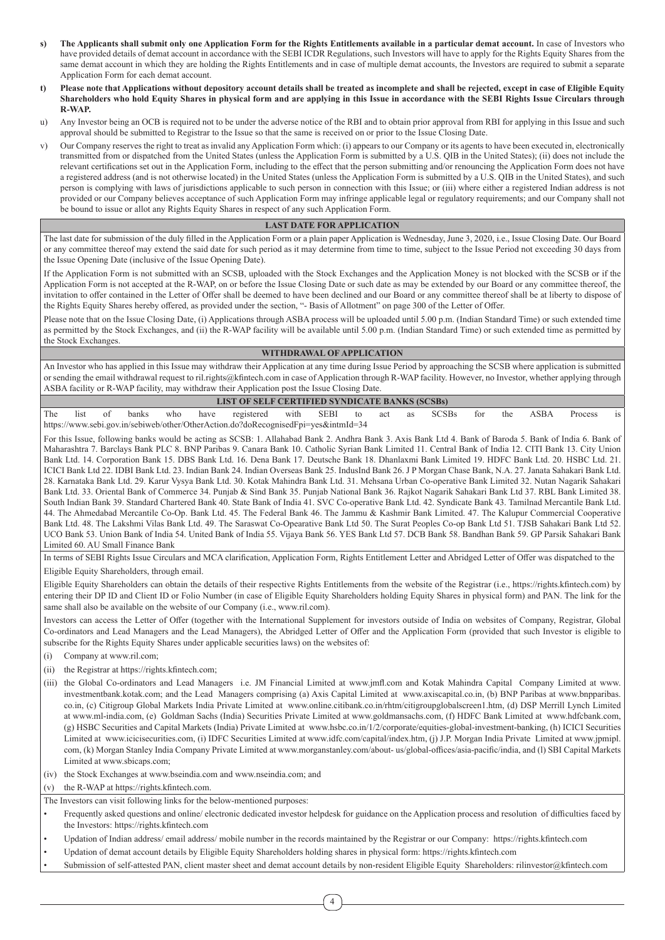- **s) The Applicants shall submit only one Application Form for the Rights Entitlements available in a particular demat account.** In case of Investors who have provided details of demat account in accordance with the SEBI ICDR Regulations, such Investors will have to apply for the Rights Equity Shares from the same demat account in which they are holding the Rights Entitlements and in case of multiple demat accounts, the Investors are required to submit a separate Application Form for each demat account.
- **t) Please note that Applications without depository account details shall be treated as incomplete and shall be rejected, except in case of Eligible Equity Shareholders who hold Equity Shares in physical form and are applying in this Issue in accordance with the SEBI Rights Issue Circulars through R-WAP.**
- u) Any Investor being an OCB is required not to be under the adverse notice of the RBI and to obtain prior approval from RBI for applying in this Issue and such approval should be submitted to Registrar to the Issue so that the same is received on or prior to the Issue Closing Date.
- v) Our Company reserves the right to treat as invalid any Application Form which: (i) appears to our Company or its agents to have been executed in, electronically transmitted from or dispatched from the United States (unless the Application Form is submitted by a U.S. QIB in the United States); (ii) does not include the relevant certifications set out in the Application Form, including to the effect that the person submitting and/or renouncing the Application Form does not have a registered address (and is not otherwise located) in the United States (unless the Application Form is submitted by a U.S. QIB in the United States), and such person is complying with laws of jurisdictions applicable to such person in connection with this Issue; or (iii) where either a registered Indian address is not provided or our Company believes acceptance of such Application Form may infringe applicable legal or regulatory requirements; and our Company shall not be bound to issue or allot any Rights Equity Shares in respect of any such Application Form.

### **LAST DATE FOR APPLICATION**

The last date for submission of the duly filled in the Application Form or a plain paper Application is Wednesday, June 3, 2020, i.e., Issue Closing Date. Our Board or any committee thereof may extend the said date for such period as it may determine from time to time, subject to the Issue Period not exceeding 30 days from the Issue Opening Date (inclusive of the Issue Opening Date).

If the Application Form is not submitted with an SCSB, uploaded with the Stock Exchanges and the Application Money is not blocked with the SCSB or if the Application Form is not accepted at the R-WAP, on or before the Issue Closing Date or such date as may be extended by our Board or any committee thereof, the invitation to offer contained in the Letter of Offer shall be deemed to have been declined and our Board or any committee thereof shall be at liberty to dispose of the Rights Equity Shares hereby offered, as provided under the section, "- Basis of Allotment" on page 300 of the Letter of Offer.

Please note that on the Issue Closing Date, (i) Applications through ASBA process will be uploaded until 5.00 p.m. (Indian Standard Time) or such extended time as permitted by the Stock Exchanges, and (ii) the R-WAP facility will be available until 5.00 p.m. (Indian Standard Time) or such extended time as permitted by the Stock Exchanges.

### **WITHDRAWAL OF APPLICATION**

An Investor who has applied in this Issue may withdraw their Application at any time during Issue Period by approaching the SCSB where application is submitted or sending the email withdrawal request to ril.rights@kfintech.com in case of Application through R-WAP facility. However, no Investor, whether applying through ASBA facility or R-WAP facility, may withdraw their Application post the Issue Closing Date.

#### **LIST OF SELF CERTIFIED SYNDICATE BANKS (SCSBs)**

The list of banks who have registered with SEBI to act as SCSBs for the ASBA Process is https://www.sebi.gov.in/sebiweb/other/OtherAction.do?doRecognisedFpi=yes&intmId=34

For this Issue, following banks would be acting as SCSB: 1. Allahabad Bank 2. Andhra Bank 3. Axis Bank Ltd 4. Bank of Baroda 5. Bank of India 6. Bank of Maharashtra 7. Barclays Bank PLC 8. BNP Paribas 9. Canara Bank 10. Catholic Syrian Bank Limited 11. Central Bank of India 12. CITI Bank 13. City Union Bank Ltd. 14. Corporation Bank 15. DBS Bank Ltd. 16. Dena Bank 17. Deutsche Bank 18. Dhanlaxmi Bank Limited 19. HDFC Bank Ltd. 20. HSBC Ltd. 21. ICICI Bank Ltd 22. IDBI Bank Ltd. 23. Indian Bank 24. Indian Overseas Bank 25. IndusInd Bank 26. J P Morgan Chase Bank, N.A. 27. Janata Sahakari Bank Ltd. 28. Karnataka Bank Ltd. 29. Karur Vysya Bank Ltd. 30. Kotak Mahindra Bank Ltd. 31. Mehsana Urban Co-operative Bank Limited 32. Nutan Nagarik Sahakari Bank Ltd. 33. Oriental Bank of Commerce 34. Punjab & Sind Bank 35. Punjab National Bank 36. Rajkot Nagarik Sahakari Bank Ltd 37. RBL Bank Limited 38. South Indian Bank 39. Standard Chartered Bank 40. State Bank of India 41. SVC Co-operative Bank Ltd. 42. Syndicate Bank 43. Tamilnad Mercantile Bank Ltd. 44. The Ahmedabad Mercantile Co-Op. Bank Ltd. 45. The Federal Bank 46. The Jammu & Kashmir Bank Limited. 47. The Kalupur Commercial Cooperative Bank Ltd. 48. The Lakshmi Vilas Bank Ltd. 49. The Saraswat Co-Opearative Bank Ltd 50. The Surat Peoples Co-op Bank Ltd 51. TJSB Sahakari Bank Ltd 52. UCO Bank 53. Union Bank of India 54. United Bank of India 55. Vijaya Bank 56. YES Bank Ltd 57. DCB Bank 58. Bandhan Bank 59. GP Parsik Sahakari Bank Limited 60. AU Small Finance Bank

In terms of SEBI Rights Issue Circulars and MCA clarification, Application Form, Rights Entitlement Letter and Abridged Letter of Offer was dispatched to the Eligible Equity Shareholders, through email.

Eligible Equity Shareholders can obtain the details of their respective Rights Entitlements from the website of the Registrar (i.e., https://rights.kfintech.com) by entering their DP ID and Client ID or Folio Number (in case of Eligible Equity Shareholders holding Equity Shares in physical form) and PAN. The link for the same shall also be available on the website of our Company (i.e., www.ril.com).

Investors can access the Letter of Offer (together with the International Supplement for investors outside of India on websites of Company, Registrar, Global Co-ordinators and Lead Managers and the Lead Managers), the Abridged Letter of Offer and the Application Form (provided that such Investor is eligible to subscribe for the Rights Equity Shares under applicable securities laws) on the websites of:

(i) Company at www.ril.com;

- (ii) the Registrar at https://rights.kfintech.com;
- (iii) the Global Co-ordinators and Lead Managers i.e. JM Financial Limited at www.jmfl.com and Kotak Mahindra Capital Company Limited at www. investmentbank.kotak.com; and the Lead Managers comprising (a) Axis Capital Limited at www.axiscapital.co.in, (b) BNP Paribas at www.bnpparibas. co.in, (c) Citigroup Global Markets India Private Limited at www.online.citibank.co.in/rhtm/citigroupglobalscreen1.htm, (d) DSP Merrill Lynch Limited at www.ml-india.com, (e) Goldman Sachs (India) Securities Private Limited at www.goldmansachs.com, (f) HDFC Bank Limited at www.hdfcbank.com, (g) HSBC Securities and Capital Markets (India) Private Limited at www.hsbc.co.in/1/2/corporate/equities-global-investment-banking, (h) ICICI Securities Limited at www.icicisecurities.com, (i) IDFC Securities Limited at www.idfc.com/capital/index.htm, (j) J.P. Morgan India Private Limited at www.jpmipl. com, (k) Morgan Stanley India Company Private Limited at www.morganstanley.com/about- us/global-offices/asia-pacific/india, and (l) SBI Capital Markets Limited at www.sbicaps.com;

(iv) the Stock Exchanges at www.bseindia.com and www.nseindia.com; and

(v) the R-WAP at https://rights.kfintech.com.

- The Investors can visit following links for the below-mentioned purposes:
- Frequently asked questions and online/ electronic dedicated investor helpdesk for guidance on the Application process and resolution of difficulties faced by the Investors: https://rights.kfintech.com
- Updation of Indian address/ email address/ mobile number in the records maintained by the Registrar or our Company: https://rights.kfintech.com
- Updation of demat account details by Eligible Equity Shareholders holding shares in physical form: https://rights.kfintech.com
- Submission of self-attested PAN, client master sheet and demat account details by non-resident Eligible Equity Shareholders: rilinvestor@kfintech.com